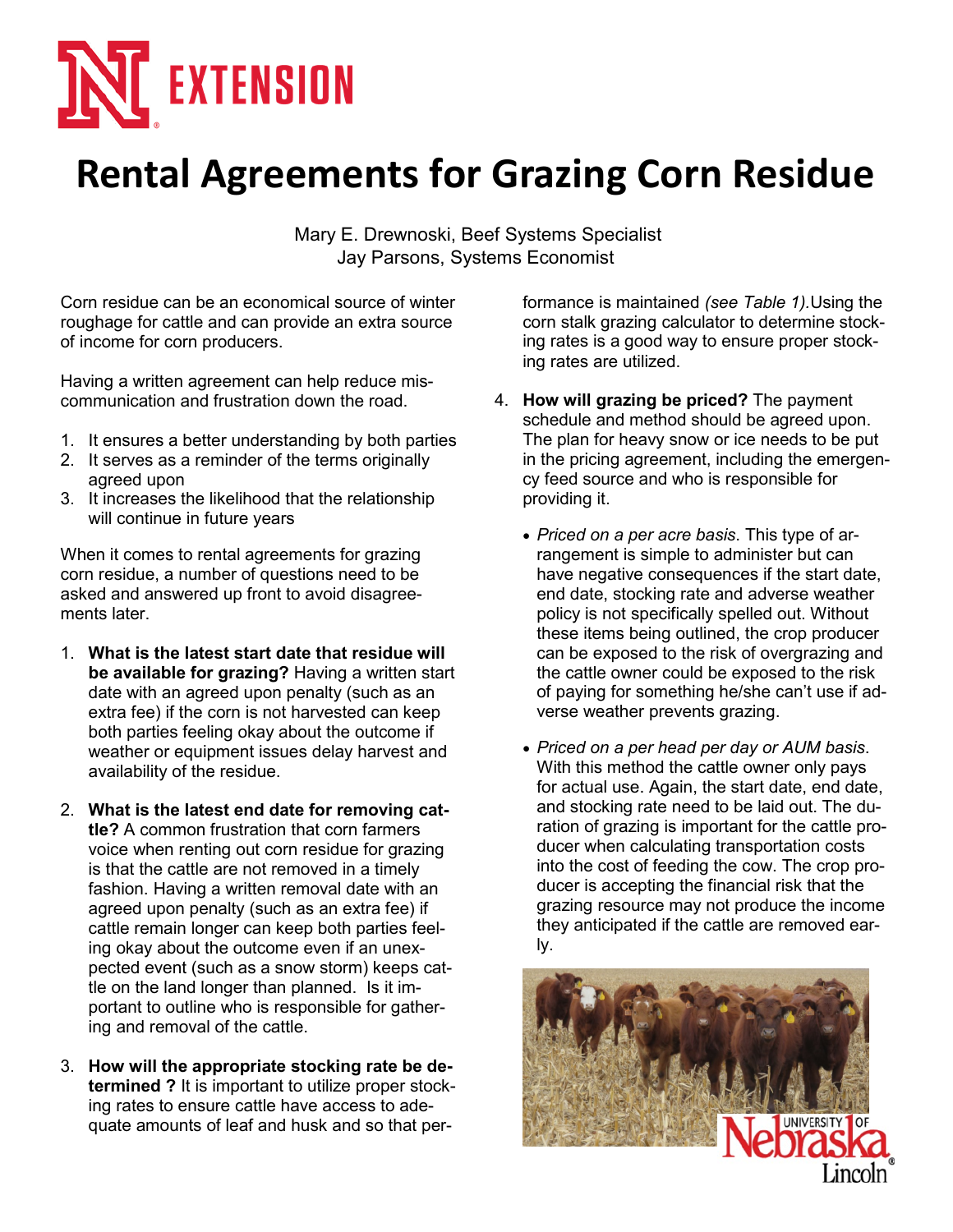

## **Rental Agreements for Grazing Corn Residue**

Mary E. Drewnoski, Beef Systems Specialist Jay Parsons, Systems Economist

Corn residue can be an economical source of winter roughage for cattle and can provide an extra source of income for corn producers.

Having a written agreement can help reduce miscommunication and frustration down the road.

- 1. It ensures a better understanding by both parties
- 2. It serves as a reminder of the terms originally agreed upon
- 3. It increases the likelihood that the relationship will continue in future years

When it comes to rental agreements for grazing corn residue, a number of questions need to be asked and answered up front to avoid disagreements later.

- 1. **What is the latest start date that residue will be available for grazing?** Having a written start date with an agreed upon penalty (such as an extra fee) if the corn is not harvested can keep both parties feeling okay about the outcome if weather or equipment issues delay harvest and availability of the residue.
- 2. **What is the latest end date for removing cattle?** A common frustration that corn farmers voice when renting out corn residue for grazing is that the cattle are not removed in a timely fashion. Having a written removal date with an agreed upon penalty (such as an extra fee) if cattle remain longer can keep both parties feeling okay about the outcome even if an unexpected event (such as a snow storm) keeps cattle on the land longer than planned. Is it important to outline who is responsible for gathering and removal of the cattle.
- 3. **How will the appropriate stocking rate be determined ?** It is important to utilize proper stocking rates to ensure cattle have access to adequate amounts of leaf and husk and so that per-

formance is maintained *(see Table 1).*Using the corn stalk grazing calculator to determine stocking rates is a good way to ensure proper stocking rates are utilized.

- 4. **How will grazing be priced?** The payment schedule and method should be agreed upon. The plan for heavy snow or ice needs to be put in the pricing agreement, including the emergency feed source and who is responsible for providing it.
	- *Priced on a per acre basis*. This type of arrangement is simple to administer but can have negative consequences if the start date, end date, stocking rate and adverse weather policy is not specifically spelled out. Without these items being outlined, the crop producer can be exposed to the risk of overgrazing and the cattle owner could be exposed to the risk of paying for something he/she can't use if adverse weather prevents grazing.
	- *Priced on a per head per day or AUM basis*. With this method the cattle owner only pays for actual use. Again, the start date, end date, and stocking rate need to be laid out. The duration of grazing is important for the cattle producer when calculating transportation costs into the cost of feeding the cow. The crop producer is accepting the financial risk that the grazing resource may not produce the income they anticipated if the cattle are removed early.